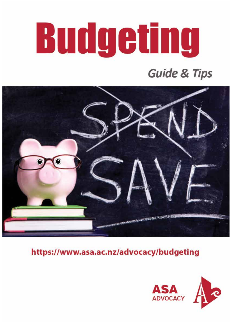# **Budgeting**

## **Guide & Tips**



https://www.asa.ac.nz/advocacy/budgeting

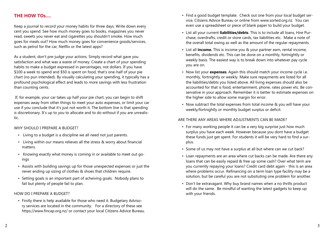#### **THE HOW TOs....**

Keep a journal to record your money habits for three days. Write down every cent you spend. See how much money goes to books, magazines you never read, sweets you never eat and cigarettes you shouldn't smoke. How much goes for meals out? How much money goes for convenience goods/services, such as petrol for the car, Netflix or the latest apps?

As a student, don't pre-judge your actions. Simply record what gave you satisfaction and what was a waste of money. Create a chart of your spending habits to make a budget expressed in percentages, not dollars. If you have \$100 a week to spend and \$50 is spent on food, that's one-half of your pie chart (no pun intended). By visually calculating your spending, it typically has a profound psychological effect and leads to more savings with less frustration than counting cents.

 If, for example, your car takes up half your pie chart, you can begin to shift expenses away from other things to meet your auto expenses, or limit your car use if you conclude that it's just not worth it. The bottom line is that spending is discretionary. It's up to you to allocate and to do without if you are unrealistic.

#### WHY SHOULD I PREPARE A BUDGET?

- Living to a budget is a discipline we all need not just parents.
- Living within our means relieves all the stress & worry about financial matters.
- Knowing exactly what money is coming in or available to meet out goings
- Assists with building savings up for those unexpected expenses or just the never ending up sizing of clothes & shoes that children require.
- Setting goals is an important part of acheiving goals. Nobody plans to fail but plenty of people fail to plan.

#### HOW DO I PREPARE A BUDGET?

• Firstly there is help available for those who need it. Budgetary Advisory services are located in the community. For a directory of these see https://www.fincap.org.nz/ or contact your local Citizens Advice Bureau.

- Find a good budget template. Check out one from your local budget service, Citizens Advice Bureau or online from www.sorted.org.nz. You can even use a spreadsheet or piece of blank paper to build your budget.
- List all your current **liabilities/debts**. This is to include all loans, Hire Purchase, overdrafts, credit or store cards, tax liabilities etc. Make a note of the overall total owing as well as the amount of the regular repayments.
- List all **income.** This is income you & your partner earn, rental income, benefits, dividends etc. This can be done on a monthly, fortnightly or weekly basis. The easiest way is to break down into whatever pay cycle you are on.
- Now list your **expenses**. Again this should match your income cycle i.e. monthly, fortnightly or weekly. Make sure repayments are listed for all the liabilities/debts you listed above. All living expenses should also be accounted for that is food, entertainment, phone, rates power etc. Be conservative in your approach. Remember it is better to estimate expenses on the higher side to allow some margin for error.
- Now subtract the total expenses from total income & you will have your weekly/fortnightly or monthly budget surplus or deficit.

#### ARE THERE ANY AREAS WHERE ADJUSTMENTS CAN BE MADE?

- For many working people it can be a very big surprise just how much surplus you have each week. However because you dont have a budget these funds just get spent. For students it will be very hard to find a surplus.
- Some of us may not have a surplus at all but where can we cut back?
- Loan repayments are an area where cut backs can be made. Are there any loans that can be easily repaid & free up some cash? Over what term are you currently repaying your loans? Credit card debt again - this is an area where problems occur. Refinancing on a term loan type facility may be a solution, but be careful you are not subsituting one problem for another.
- Don't be extravagant. Why buy brand names when a no thrills product will do the same. Be mindful of wanting the latest gadgets to keep up with your friends.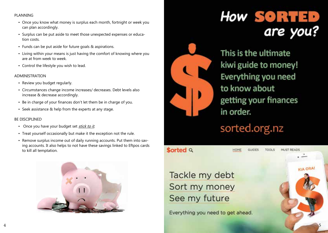#### PLANNING

- Once you know what money is surplus each month, fortnight or week you can plan accordingly.
- Surplus can be put aside to meet those unexpected expenses or education costs.
- Funds can be put aside for future goals & aspirations.
- Living within your means is just having the comfort of knowing where you are at from week to week.
- Control the lifestyle you wish to lead.

#### ADMINISTRATION

- Review you budget regularly.
- Circumstances change income increases/ decreases. Debt levels also increase & decrease accordingly.
- Be in charge of your finances don't let them be in charge of you.
- Seek assistance & help from the experts at any stage.

#### BE DISCIPLINED

- Once you have your budget set stick to it.
- Treat yourself occasionally but make it the exception not the rule.
- Remove surplus income out of daily running accounts. Put them into saving accounts. It also helps to not have these savings linked to Eftpos cards to kill all temptation.





**Sorted Q** 

# **How SORTED** are you?

This is the ultimate kiwi guide to money! Everything you need to know about getting your finances in order.

sorted.org.nz

MUST READS

**KIA ORA!** 

Tackle my debt Sort my money See my future

Everything you need to get ahead.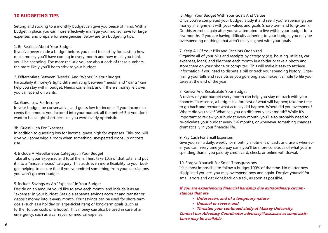#### **10 BUDGETING TIPS**

Setting and sticking to a monthly budget can give you peace of mind. With a budget in place, you can more effectively manage your money, save for large expenses, and prepare for emergencies. Below are ten budgeting tips.

#### 1. Be Realistic About Your Budget

If you've never made a budget before, you need to start by forecasting how much money you'll have coming in every month and how much you think you'll be spending. The more realistic you are about each of these numbers, the more likely you'll be to stick to your budget.

#### 2. Differentiate Between "Needs" And "Wants" In Your Budget

Particularly if money's tight, differentiating between "needs" and "wants" can help you stay within budget. Needs come first, and if there's money left over, you can spend on wants.

#### 3a. Guess Low For Income

In your budget, be conservative, and guess low for income. If your income exceeds the amount you factored into your budget, all the better! But you don't want to be caught short because you were overly optimistic.

#### 3b. Guess High For Expenses

In addition to guessing low for income, guess high for expenses. This, too, will give you some wiggle room when something unexpected crops up or costs rise.

#### 4. Include A Miscellaneous Category In Your Budget

Take all of your expenses and total them. Then, take 10% of that total and put it into a "miscellaneous" category. This adds even more flexibility to your budget, helping to ensure that if you've omitted something from your calculations, you won't go over budget.

#### 5. Include Savings As An "Expense" In Your Budget

Decide on an amount you'd like to save each month, and include it as an "expense" in your budget. Set up a separate savings account and transfer or deposit money into it every month. Your savings can be used for short-term goals (such as a holiday or large-ticket item) or long-term goals (such as further tuition costs or a house). This money can also be used in case of an emergency, such as a car repair or medical expense.

6. Align Your Budget With Your Goals And Values

Once you've completed your budget, study it and see if you're spending your money in alignment with your values and goals (short-term and long-term). Do this exercise again after you've attempted to live within your budget for a few months. If you are having difficulty adhering to your budget, you may be overspending on things that aren't really aligned with your goals.

#### 7. Keep All Of Your Bills and Receipts Organized

Organize all of your bills and receipts by category (e.g. housing, utilities, car expenses, loans) and file them each month in a folder or take a photo and store them on your phone or computer. This will make it easy to retrieve information if you need to dispute a bill or track your spending history. Organizing your bills and receipts as you go along also makes it simple to file your taxes at the end of the year.

#### 8. Review And Recalculate Your Budget

A review of your budget every month can help you stay on track with your finances. In essence, a budget is a forecast of what will happen; take the time to go back and recount what actually did happen. Where did you overspend? Where did you save? What can you do differently next month? While it's important to review your budget every month, you'll also probably need to re-calculate your budget every 3-6 months, or whenever something changes dramatically in your financial life.

#### 9. Pay Cash For Small Expenses

Give yourself a daily, weekly, or monthly allotment of cash, and use it whenever you can. Every time you pay cash, you'll be more conscious of what you're spending than if you paid by credit card, check, or online withdrawal.

#### 10. Forgive Yourself For Small Transgressions

It's almost impossible to follow a budget 100% of the time. No matter how disciplined you are, you may overspend now and again. Forgive yourself for small errors and get right back on track, as soon as possible.

#### **If you are experiencing financial hardship due extraordinary circumstances that are**

- **• Unforeseen, and of a temporary nature;**
- **• Unusual or severe; and**
- **• Threaten your continued study at Massey University.**

**Contact our Advocacy Coordinator advocacy@asa.ac.nz as some assistance may be available**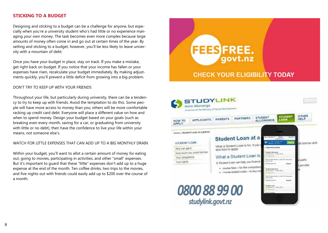#### **STICKING TO A BUDGET**

Designing and sticking to a budget can be a challenge for anyone, but especially when you're a university student who's had little or no experience managing your own money. The task becomes even more complex because large amounts of money often come in and go out at certain times of the year. By setting and sticking to a budget, however, you'll be less likely to leave university with a mountain of debt.

Once you have your budget in place, stay on track. If you make a mistake, get right back on budget. If you notice that your income has fallen or your expenses have risen, recalculate your budget immediately. By making adjustments quickly, you'll prevent a little deficit from growing into a big problem.

#### DON'T TRY TO KEEP UP WITH YOUR FRIENDS

Throughout your life, but particularly during university, there can be a tendency to try to keep up with friends. Avoid the temptation to do this. Some people will have more access to money than you; others will be more comfortable racking up credit card debt. Everyone will place a different value on how and when to spend money. Design your budget based on your goals (such as breaking even every month, saving for a car, or graduating from university with little or no debt), then have the confidence to live your life within your means, not someone else's.

#### WATCH FOR LITTLE EXPENSES THAT CAN ADD UP TO A BIG MONTHLY DRAIN

Within your budget, you'll want to allot a certain amount of money for eating out, going to movies, participating in activities, and other "small" expenses. But it's important to quard that these "little" expenses don't add up to a huge expense at the end of the month. Ten coffee drinks, two trips to the movies, and five nights out with friends could easily add up to \$200 over the course of a month.



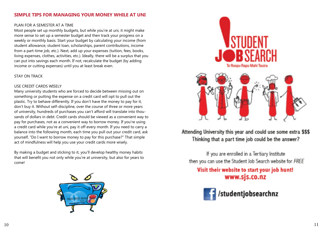#### **SIMPLE TIPS FOR MANAGING YOUR MONEY WHILE AT UNI**

#### PLAN FOR A SEMESTER AT A TIME

Most people set up monthly budgets, but while you're at uni, it might make more sense to set up a semester budget and then track your progress on a weekly or monthly basis. Start your budget by calculating your income (from student allowance, student loan, scholarships, parent contributions, income from a part-time job, etc.). Next, add up your expenses (tuition, fees, books, living expenses, clothes, activities, etc.). Ideally, there will be a surplus that you can put into savings each month. If not, recalculate the budget (by adding income or cutting expenses) until you at least break even.

#### STAY ON TRACK

#### USE CREDIT CARDS WISELY

Many university students who are forced to decide between missing out on something or putting the expense on a credit card will opt to pull out the plastic. Try to behave differently. If you don't have the money to pay for it, don't buy it. Without self-discipline, over the course of three or more years of university, hundreds of purchases you can't afford will translate into thou sands of dollars in debt. Credit cards should be viewed as a convenient way to pay for purchases, not as a convenient way to borrow money. If you're using a credit card while you're at uni, pay it off every month. If you need to carry a balance into the following month, each time you pull out your credit card, ask yourself, "Do I want to borrow money to pay for this purchase?" That simple act of mindfulness will help you use your credit cards more wisely.

By making a budget and sticking to it, you'll develop healthy money habits that will benefit you not only while you're at university, but also for years to come!





### Attending University this year and could use some extra \$\$\$ Thinking that a part time job could be the answer?

If you are enrolled in a Tertiary Institute then you can use the Student Job Search website for FREE

Visit their website to start your job hunt! www.sjs.co.nz

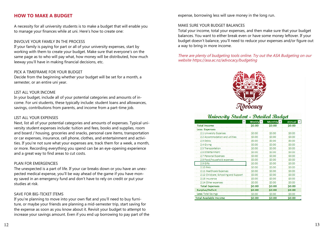#### **HOW TO MAKE A BUDGET**

A necessity for all university students is to make a budget that will enable you to manage your finances while at uni. Here's how to create one:

#### INVOLVE YOUR FAMILY IN THE PROCESS

If your family is paying for part or all of your university expenses, start by working with them to create your budget. Make sure that everyone's on the same page as to who will pay what, how money will be distributed, how much leeway you'll have in making financial decisions, etc.

#### PICK A TIMEFRAME FOR YOUR BUDGET

Decide from the beginning whether your budget will be set for a month, a semester, or an entire uni year.

#### LIST ALL YOUR INCOME

In your budget, include all of your potential categories and amounts of income. For uni students, these typically include: student loans and allowances, savings, contributions from parents, and income from a part-time job.

#### LIST ALL YOUR EXPENSES

Next, list all of your potential categories and amounts of expenses. Typical university student expenses include: tuition and fees, books and supplies, room and board / housing, groceries and snacks, personal care items, transportation or car expenses, insurance, cell phone, clothes, and entertainment and activities. If you're not sure what your expenses are, track them for a week, a month, or more. Recording everything you spend can be an eye-opening experience and a great way to find areas to cut costs.

#### PLAN FOR EMERGENCIES

The unexpected is a part of life. If your car breaks down or you have an unexpected medical expense, you'll be way ahead of the game if you have money saved in an emergency fund and don't have to rely on credit or put your studies at risk.

#### SAVE FOR BIG-TICKET ITEMS

If you're planning to move into your own flat and you'll need to buy furniture, or maybe your friends are planning a mid-semester trip, start saving for the expense as soon as you know about it. Revisit your budget to attempt to increase your savings amount. Even if you end up borrowing to pay part of the expense, borrowing less will save money in the long run.

#### MAKE SURE YOUR BUDGET BALANCES

Total your income, total your expenses, and then make sure that your budget balances. You want to either break even or have some money leftover. If your budget doesn't balance, you'll need to reduce your expenses and/or figure out a way to bring in more income.

There are plenty of budgeting tools online. Try out the ASA Budgeting on our website https://asa.ac.nz/advocacy/budgeting



#### University Student - Detailed Budget

| iumn 1                                | Weekly $\overline{\phantom{a}}$ | Monthly $\overline{y}$ | Annual $\overline{z}$ |
|---------------------------------------|---------------------------------|------------------------|-----------------------|
| <b>Total Income</b>                   | \$0.00                          | \$0.00                 | \$0.00                |
| <b>Less: Expenses</b>                 |                                 |                        |                       |
| 2.1 University Expenses               | \$0.00                          | \$0.00                 | \$0.00                |
| 2.2 Accommodation and utilities       | \$0.00                          | \$0.00                 | \$0.00                |
| 2.3 Debts                             | \$0.00                          | \$0.00                 | \$0.00                |
| 2.4 Giving                            | \$0.00                          | \$0.00                 | \$0.00                |
| 2.5 Transportation                    | \$0.00                          | \$0.00                 | \$0.00                |
| 2.6 Entertainment                     | \$0.00                          | \$0.00                 | \$0.00                |
| 2.7 Personal Expenses                 | \$0.00                          | \$0.00                 | \$0.00                |
| 2.8 Food/household expenses           | \$0.00                          | \$0.00                 | \$0.00                |
| 2.9 Gifts                             | \$0.00                          | \$0.00                 | \$0.00                |
| 2.10 Pets                             | \$0.00                          | \$0.00                 | \$0.00                |
| 2.11 Healthcare Expenses              | \$0.00                          | \$0.00                 | \$0.00                |
| 2.12 Childcare, Schooling and Support | \$0.00                          | \$0.00                 | \$0.00                |
| 2.13 Insurance                        | \$0.00                          | \$0.00                 | \$0.00                |
| 2.14 Other expenses                   | \$0.00                          | \$0.00                 | \$0.00                |
| <b>Total Expenses</b>                 | \$0.00                          | \$0.00                 | \$0.00                |
| Surplus/Deficit                       | \$0.00                          | \$0.00                 | \$0.00                |
| Less: Total Savings                   | \$0.00                          | \$0.00                 | \$0.00                |
| <b>Total Available Income</b>         | \$0.00                          | \$0.00                 | \$0.00                |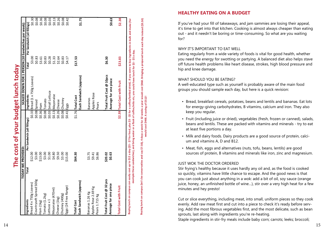| i               |
|-----------------|
|                 |
|                 |
|                 |
|                 |
|                 |
| O               |
|                 |
|                 |
|                 |
|                 |
| COCOCO          |
|                 |
| į               |
|                 |
|                 |
|                 |
| <b>OT VOLIF</b> |
|                 |
| j               |
|                 |
|                 |
| å<br>ļ          |
|                 |
|                 |
|                 |
|                 |
|                 |
|                 |
|                 |

**HEALTHY EATING ON A BUDGET**

#### WHY IT'S IMPORTANT TO EAT WELL

#### WHAT SHOULD YOU BE EATING?

- Bread, breakfast cereals, potatoes, beans and lentils and bananas. Eat lots for energy-giving carbohydrates, B vitamins, calcium and iron. They also keep you regular.
- Fruit (including juice or dried), vegetables (fresh, frozen or canned), salads, beans and lentils. These are packed with vitamins and minerals - try to eat at least five portions a day.
- Milk and dairy foods. Dairy products are a good source of protein, calci um and vitamins A, D and B12.
- Meat, fish, eggs and alternatives (nuts, tofu, beans, lentils) are good sources of protein, B vitamins and minerals like iron, zinc and magnesium.

#### JUST WOK THE DOCTOR ORDERED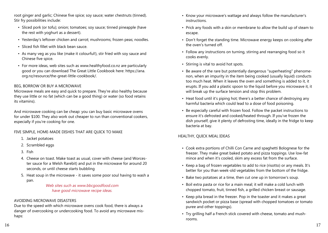root ginger and garlic; Chinese five spice; soy sauce; water chestnuts (tinned). Stir fry possibilities include:

- Sliced pork (or tofu); onion; tomatoes; soy sauce; tinned pineapple (have the rest with yoghurt as a dessert).
- Yesterday's leftover chicken and carrot; mushrooms; frozen peas; noodles.
- Sliced fish fillet with black bean sauce.
- As many veg as you like (make it colourful!), stir fried with soy sauce and Chinese five spice.
- For more ideas, web sites such as www.healthyfood.co.nz are particularly good or you can download The Great Little Cookbook here: https://ana. org.nz/resource/the-great-little-cookbook/.

#### BEG, BORROW OR BUY A MICROWAVE

Microwave meals are easy and quick to prepare. They're also healthy because they use little or no fat (which can be a good thing) or water (so food retains its vitamins).

And microwave cooking can be cheap: you can buy basic microwave ovens for under \$100. They also work out cheaper to run than conventional cookers, especially if you're cooking for one.

#### FIVE SIMPLE, HOME-MADE DISHES THAT ARE QUICK TO MAKE

- 1. Jacket potatoes
- 2. Scrambled eggs
- 3. Fish
- 4. Cheese on toast. Make toast as usual, cover with cheese (and Worcester sauce for a Welsh Rarebit) and put in the microwave for around 20 seconds, or until cheese starts bubbling
- 5. Heat soup in the microwave it saves some poor soul having to wash a pan.

Web sites such as www.bbcgoodfood.com have good microwave recipe ideas.

#### AVOIDING MICROWAVE DISASTERS

Due to the speed with which microwave ovens cook food, there is always a danger of overcooking or undercooking food. To avoid any microwave mishaps:

- Know your microwave's wattage and always follow the manufacturer's instructions.
- Prick any foods with a skin or membrane to allow the build up of steam to escape.
- Don't forget the standing time. Microwave energy keeps on cooking after the oven's turned off.
- Follow any instructions on turning, stirring and rearranging food so it cooks evenly.
- Stirring is vital to avoid hot spots.
- Be aware of the rare but potentially dangerous "superheating" phenomenon, when an impurity in the item being cooked (usually liquid) conducts too much heat. When it leaves the oven and something is added to it, it erupts. If you add a plastic spoon to the liquid before you microwave it, it will break up the surface tension and stop this problem.
- Heat food until it's piping hot; there's a better chance of destroying any harmful bacteria which could lead to a dose of food poisoning.
- Be especially careful with frozen food. Follow the packet instructions to ensure it's defrosted and cooked/heated through. If you've frozen the dish yourself, give it plenty of defrosting time, ideally in the fridge to keep bacteria at bay.

#### HEALTHY, QUICK MEAL IDEAS

- Cook extra portions of Chilli Con Carne and spaghetti Bolognese for the freezer. They make great baked potato and pizza toppings. Use low-fat mince and when it's cooled, skim any excess fat from the surface.
- Keep a bag of frozen vegetables to add to rice (risotto) or any meals. It's better for you than week-old vegetables from the bottom of the fridge.
- Bake two potatoes at a time, then cut one up in tomorrow's soup.
- Boil extra pasta or rice for a main meal; it will make a cold lunch with chopped tomato, fruit, tinned fish, a grilled chicken breast or sausage.
- Keep pita bread in the freezer. Pop in the toaster and it makes a great sandwich pocket or pizza base (spread with chopped tomatoes or tomato puree and other toppings).
- Try grilling half a French stick covered with cheese, tomato and mushrooms.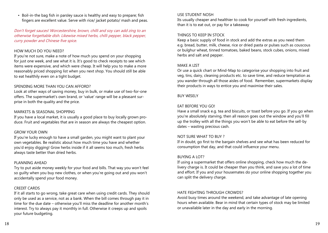• Boil-in-the bag fish in parsley sauce is healthy and easy to prepare; fish fingers are excellent value. Serve with rice/ jacket potato/ mash and peas.

Don't forget sauces! Worcestershire, brown, chilli and soy can add zing to an otherwise forgettable dish. Likewise mixed herbs, chilli pepper, black pepper, curry powder and Chinese five spice.

#### HOW MUCH DO YOU NEED?

If you're not sure, make a note of how much you spend on your shopping for just one week, and see what it is. It's good to check receipts to see which items were expensive, and which were cheap. It will help you to make a more reasonably priced shopping list when you next shop. You should still be able to eat healthily even on a tight budget.

#### SPENDING MORE THAN YOU CAN AFFORD?

Look at other ways of saving money, buy in bulk, or make use of two-for-one offers. The supermarket's own brand, or 'value' range will be a pleasant surprise in both the quality and the price.

#### MARKETS & SEASONAL SHOPPING

If you have a local market, it is usually a good place to buy locally grown produce. Fruit and vegetables that are in season are always the cheapest option.

#### GROW YOUR OWN

If you're lucky enough to have a small garden, you might want to plant your own vegetables. Be realistic about how much time you have and whether you'd enjoy digging! Grow herbs inside if it all seems too much, fresh herbs always taste better than dried herbs.

#### PLANNING AHEAD

Try to put aside money weekly for your food and bills. That way you won't feel so guilty when you buy new clothes, or when you're going out and you won't accidentally spend your food money.

#### CREDIT CARDS

If it all starts to go wrong, take great care when using credit cards. They should only be used as a service, not as a bank. When the bill comes through pay it in time for the due date – otherwise you'll miss the deadline for another month's interest. Try to always pay it monthly in full. Otherwise it creeps up and spoils your future budgeting.

#### USE STUDENT NOSH

Its usually cheaper and healthier to cook for yourself with fresh ingredients, than it is to eat out, or pay for a takeaway

#### THINGS TO KEEP IN STOCK

Keep a basic supply of food in stock and add the extras as you need them e.g. bread, butter, milk, cheese, rice or dried pasta or pulses such as couscous or bulghur wheat, tinned tomatoes, baked beans, stock cubes, onions, mixed herbs and salt and pepper.

#### MAKE A LIST

Or use a quick chart or Mind-Map to categorise your shopping into fruit and veg, tins, dairy, cleaning products etc. to save time, and reduce temptation as you wander through all those aisles of food. Remember, supermarkets display their products in ways to entice you and maximise their sales.

#### BUY WISELY

#### EAT BEFORE YOU GO!

Have a small snack e.g. tea and biscuits, or toast before you go. If you go when you're absolutely starving, then all reason goes out the window and you'll fill up the trolley with all the things you won't be able to eat before the sell-by dates – wasting precious cash.

#### NOT SURE WHAT TO BUY ?

If in doubt, go first to the bargain shelves and see what has been reduced for consumption that day, and that could influence your menu.

#### BUYING A LOT?

If using a supermarket that offers online shopping, check how much the delivery charge is. It could be cheaper than you think, and save you a lot of time and effort. If you and your housemates do your online shopping together you can split the delivery charge.

#### HATE FIGHTING THROUGH CROWDS?

Avoid busy times around the weekend, and take advantage of late opening hours when available. Bear in mind that certain types of stock may be limited or unavailable later in the day and early in the morning.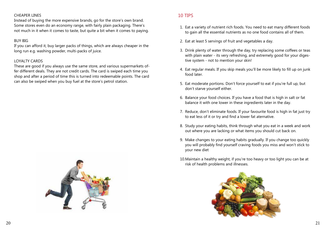#### CHEAPER LINES

Instead of buying the more expensive brands, go for the store's own brand. Some stores even do an economy range, with fairly plain packaging. There's not much in it when it comes to taste, but quite a bit when it comes to paying.

#### BUY BIG

If you can afford it, buy larger packs of things, which are always cheaper in the long run e.g. washing powder, multi-packs of juice.

#### LOYALTY CARDS

These are good if you always use the same store, and various supermarkets offer different deals. They are not credit cards. The card is swiped each time you shop and after a period of time this is turned into redeemable points. The card can also be swiped when you buy fuel at the store's petrol station.



#### 10 TIPS

- 1. Eat a variety of nutrient rich foods. You need to eat many different foods to gain all the essential nutrients as no one food contains all of them.
- 2. Eat at least 5 servings of fruit and vegetables a day.
- 3. Drink plenty of water through the day, try replacing some coffees or teas with plain water - its very refreshing, and extremely good for your digestive system - not to mention your skin!
- 4. Eat regular meals. If you skip meals you'll be more likely to fill up on junk food later.
- 5. Eat moderate portions. Don't force yourself to eat if you're full up, but don't starve yourself either.
- 6. Balance your food choices. If you have a food that is high in salt or fat balance it with one lower in these ingredients later in the day.
- 7. Reduce, don't eliminate foods. If your favourite food is high in fat just try to eat less of it or try and find a lower fat aternative.
- 8. Study your eating habits, think through what you eat in a week and work out where you are lacking or what items you should cut back on.
- 9. Make changes to your eating habits gradually. If you change too quickly you will probably find yourself craving foods you miss and won't stick to your new diet
- 10.Maintain a healthy weight, if you're too heavy or too light you can be at risk of health problems and illnesses.

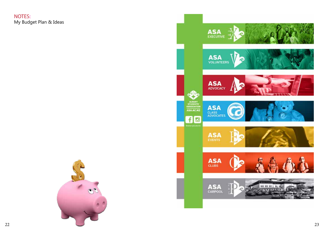NOTES: My Budget Plan & Ideas